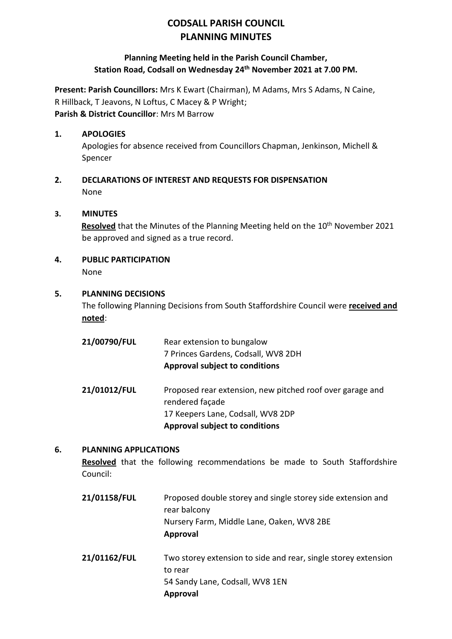## **CODSALL PARISH COUNCIL PLANNING MINUTES**

### **Planning Meeting held in the Parish Council Chamber, Station Road, Codsall on Wednesday 24th November 2021 at 7.00 PM.**

**Present: Parish Councillors:** Mrs K Ewart (Chairman), M Adams, Mrs S Adams, N Caine, R Hillback, T Jeavons, N Loftus, C Macey & P Wright; **Parish & District Councillor**: Mrs M Barrow

### **1. APOLOGIES**

Apologies for absence received from Councillors Chapman, Jenkinson, Michell & Spencer

**2. DECLARATIONS OF INTEREST AND REQUESTS FOR DISPENSATION** None

### **3. MINUTES**

**Resolved** that the Minutes of the Planning Meeting held on the 10<sup>th</sup> November 2021 be approved and signed as a true record.

# **4. PUBLIC PARTICIPATION**

None

### **5. PLANNING DECISIONS**

The following Planning Decisions from South Staffordshire Council were **received and noted**:

| 21/00790/FUL | Rear extension to bungalow<br>7 Princes Gardens, Codsall, WV8 2DH<br><b>Approval subject to conditions</b> |
|--------------|------------------------------------------------------------------------------------------------------------|
| 21/01012/FUL | Proposed rear extension, new pitched roof over garage and<br>rendered façade                               |
|              | 17 Keepers Lane, Codsall, WV8 2DP                                                                          |
|              | <b>Approval subject to conditions</b>                                                                      |

### **6. PLANNING APPLICATIONS**

**Resolved** that the following recommendations be made to South Staffordshire Council:

- **21/01158/FUL** Proposed double storey and single storey side extension and rear balcony Nursery Farm, Middle Lane, Oaken, WV8 2BE **Approval**
- **21/01162/FUL** Two storey extension to side and rear, single storey extension to rear 54 Sandy Lane, Codsall, WV8 1EN **Approval**